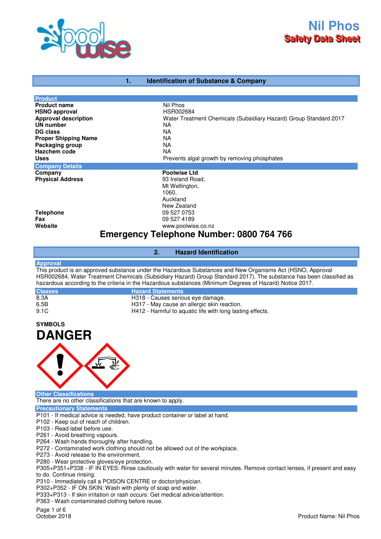

# **1. Identification of Substance & Company**

| <b>Product</b>                                  |                                                                   |  |
|-------------------------------------------------|-------------------------------------------------------------------|--|
| <b>Product name</b>                             | Nil Phos                                                          |  |
| <b>HSNO approval</b>                            | HSR002684                                                         |  |
| <b>Approval description</b>                     | Water Treatment Chemicals (Subsidiary Hazard) Group Standard 2017 |  |
| <b>UN number</b>                                | NA                                                                |  |
| DG class                                        | NA                                                                |  |
| <b>Proper Shipping Name</b>                     | <b>NA</b>                                                         |  |
| Packaging group                                 | <b>NA</b>                                                         |  |
| Hazchem code                                    | <b>NA</b>                                                         |  |
| <b>Uses</b>                                     | Prevents algal growth by removing phosphates                      |  |
| <b>Company Details</b>                          |                                                                   |  |
| Company                                         | <b>Poolwise Ltd</b>                                               |  |
| <b>Physical Address</b>                         | 93 Ireland Road,                                                  |  |
|                                                 | Mt Wellington,                                                    |  |
|                                                 | 1060,                                                             |  |
|                                                 | Auckland                                                          |  |
|                                                 | New Zealand                                                       |  |
| <b>Telephone</b>                                | 09 527 0753                                                       |  |
| Fax                                             | 09 527 4189                                                       |  |
| Website                                         | www.poolwise.co.nz                                                |  |
| <b>Emergency Telephone Number: 0800 764 766</b> |                                                                   |  |

### **2. Hazard Identification**

### **Approval**

This product is an approved substance under the Hazardous Substances and New Organisms Act (HSNO, Approval HSR002684, Water Treatment Chemicals (Subsidiary Hazard) Group Standard 2017). The substance has been classified as hazardous according to the criteria in the Hazardous substances (Minimum Degrees of Hazard) Notice 2017.

| <b>Classes</b> | <b>Hazard Statements</b>                                  |
|----------------|-----------------------------------------------------------|
| 8.3A           | H318 - Causes serious eye damage.                         |
| 6.5B           | H317 - May cause an allergic skin reaction.               |
| 9.1C           | H412 - Harmful to aquatic life with long lasting effects. |

# **SYMBOLS DANGER**



**Other Classifications**

There are no other classifications that are known to apply.

### **Precautionary Statements**

- P101 If medical advice is needed, have product container or label at hand.
- P102 Keep out of reach of children.
- P103 Read label before use.
- P261 Avoid breathing vapours.
- P264 Wash hands thoroughly after handling.
- P272 Contaminated work clothing should not be allowed out of the workplace.
- P273 Avoid release to the environment.
- P280 Wear protective gloves/eye protection.

P305+P351+P338 - IF IN EYES: Rinse cautiously with water for several minutes. Remove contact lenses, if present and easy to do. Continue rinsing.

P310 - Immediately call a POISON CENTRE or doctor/physician.

P302+P352 - IF ON SKIN: Wash with plenty of soap and water.

P333+P313 - If skin irritation or rash occurs: Get medical advice/attention.

P363 - Wash contaminated clothing before reuse.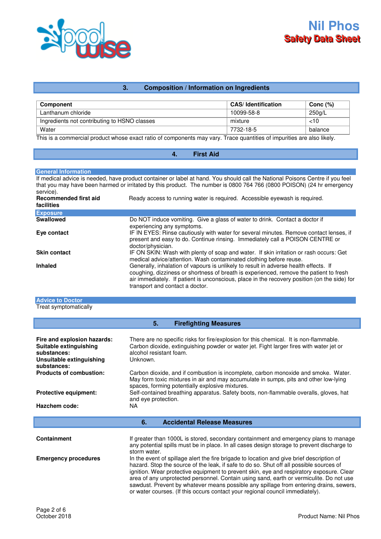

# **3. Composition / Information on Ingredients**

| <b>Component</b>                             | <b>CAS</b> /Identification | Conc $(%)$ |
|----------------------------------------------|----------------------------|------------|
| Lanthanum chloride                           | 10099-58-8                 | 250g/L     |
| Ingredients not contributing to HSNO classes | mixture                    | ~10        |
| Water                                        | 7732-18-5                  | balance    |

This is a commercial product whose exact ratio of components may vary. Trace quantities of impurities are also likely.

# **4. First Aid**

### **General Information**

If medical advice is needed, have product container or label at hand. You should call the National Poisons Centre if you feel that you may have been harmed or irritated by this product. The number is 0800 764 766 (0800 POISON) (24 hr emergency service).

| <b>Recommended first aid</b><br>facilities | Ready access to running water is required. Accessible eyewash is required.                                                                                                                                                                                                                                        |
|--------------------------------------------|-------------------------------------------------------------------------------------------------------------------------------------------------------------------------------------------------------------------------------------------------------------------------------------------------------------------|
| <b>Exposure</b>                            |                                                                                                                                                                                                                                                                                                                   |
| <b>Swallowed</b>                           | Do NOT induce vomiting. Give a glass of water to drink. Contact a doctor if<br>experiencing any symptoms.                                                                                                                                                                                                         |
| Eye contact                                | IF IN EYES: Rinse cautiously with water for several minutes. Remove contact lenses, if<br>present and easy to do. Continue rinsing. Immediately call a POISON CENTRE or<br>doctor/physician.                                                                                                                      |
| <b>Skin contact</b>                        | IF ON SKIN: Wash with plenty of soap and water. If skin irritation or rash occurs: Get<br>medical advice/attention. Wash contaminated clothing before reuse.                                                                                                                                                      |
| <b>Inhaled</b>                             | Generally, inhalation of vapours is unlikely to result in adverse health effects. If<br>coughing, dizziness or shortness of breath is experienced, remove the patient to fresh<br>air immediately. If patient is unconscious, place in the recovery position (on the side) for<br>transport and contact a doctor. |

### **Advice to Doctor** Treat symptomatically

| 5.<br><b>Firefighting Measures</b>                                                                              |                                                                                                                                                                                                                                                                                                                                                                                                                                                                                                                                                        |  |  |  |
|-----------------------------------------------------------------------------------------------------------------|--------------------------------------------------------------------------------------------------------------------------------------------------------------------------------------------------------------------------------------------------------------------------------------------------------------------------------------------------------------------------------------------------------------------------------------------------------------------------------------------------------------------------------------------------------|--|--|--|
| Fire and explosion hazards:<br>Suitable extinguishing<br>substances:<br>Unsuitable extinguishing<br>substances: | There are no specific risks for fire/explosion for this chemical. It is non-flammable.<br>Carbon dioxide, extinguishing powder or water jet. Fight larger fires with water jet or<br>alcohol resistant foam.<br>Unknown.                                                                                                                                                                                                                                                                                                                               |  |  |  |
| <b>Products of combustion:</b>                                                                                  | Carbon dioxide, and if combustion is incomplete, carbon monoxide and smoke. Water.<br>May form toxic mixtures in air and may accumulate in sumps, pits and other low-lying<br>spaces, forming potentially explosive mixtures.                                                                                                                                                                                                                                                                                                                          |  |  |  |
| <b>Protective equipment:</b>                                                                                    | Self-contained breathing apparatus. Safety boots, non-flammable overalls, gloves, hat<br>and eye protection.                                                                                                                                                                                                                                                                                                                                                                                                                                           |  |  |  |
| Hazchem code:                                                                                                   | NA.                                                                                                                                                                                                                                                                                                                                                                                                                                                                                                                                                    |  |  |  |
|                                                                                                                 | <b>Accidental Release Measures</b><br>6.                                                                                                                                                                                                                                                                                                                                                                                                                                                                                                               |  |  |  |
| <b>Containment</b>                                                                                              | If greater than 1000L is stored, secondary containment and emergency plans to manage<br>any potential spills must be in place. In all cases design storage to prevent discharge to<br>storm water.                                                                                                                                                                                                                                                                                                                                                     |  |  |  |
| <b>Emergency procedures</b>                                                                                     | In the event of spillage alert the fire brigade to location and give brief description of<br>hazard. Stop the source of the leak, if safe to do so. Shut off all possible sources of<br>ignition. Wear protective equipment to prevent skin, eye and respiratory exposure. Clear<br>area of any unprotected personnel. Contain using sand, earth or vermiculite. Do not use<br>sawdust. Prevent by whatever means possible any spillage from entering drains, sewers,<br>or water courses. (If this occurs contact your regional council immediately). |  |  |  |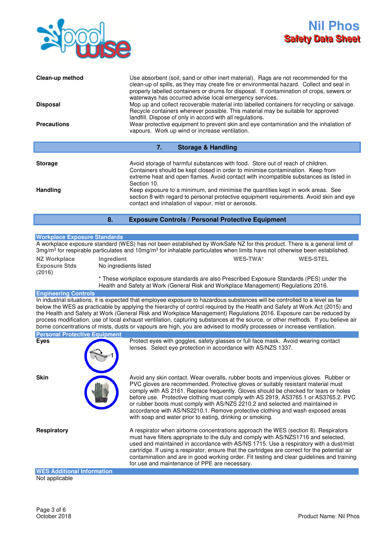

| Clean-up method<br><b>Disposal</b><br><b>Precautions</b> | Use absorbent (soil, sand or other inert material). Rags are not recommended for the<br>clean-up of spills, as they may create fire or environmental hazard. Collect and seal in<br>properly labelled containers or drums for disposal. If contamination of crops, sewers or<br>waterways has occurred advise local emergency services.<br>Mop up and collect recoverable material into labelled containers for recycling or salvage.<br>Recycle containers wherever possible. This material may be suitable for approved<br>landfill. Dispose of only in accord with all regulations.<br>Wear protective equipment to prevent skin and eye contamination and the inhalation of<br>vapours. Work up wind or increase ventilation. |  |
|----------------------------------------------------------|-----------------------------------------------------------------------------------------------------------------------------------------------------------------------------------------------------------------------------------------------------------------------------------------------------------------------------------------------------------------------------------------------------------------------------------------------------------------------------------------------------------------------------------------------------------------------------------------------------------------------------------------------------------------------------------------------------------------------------------|--|
| 7.<br><b>Storage &amp; Handling</b>                      |                                                                                                                                                                                                                                                                                                                                                                                                                                                                                                                                                                                                                                                                                                                                   |  |
| <b>Storage</b><br><b>Handling</b>                        | Avoid storage of harmful substances with food. Store out of reach of children.<br>Containers should be kept closed in order to minimise contamination. Keep from<br>extreme heat and open flames. Avoid contact with incompatible substances as listed in<br>Section 10.<br>Keep exposure to a minimum, and minimise the quantities kept in work areas. See<br>section 8 with regard to personal protective equipment requirements. Avoid skin and eye<br>contact and inhalation of vapour, mist or aerosols.                                                                                                                                                                                                                     |  |

**8. Exposure Controls / Personal Protective Equipment** 

### **Workplace Exposure Standards**

A workplace exposure standard (WES) has not been established by WorkSafe NZ for this product. There is a general limit of 3mg/m<sup>3</sup> for respirable particulates and 10mg/m<sup>3</sup> for inhalable particulates when limits have not otherwise been established.

| NZ Workplace<br><b>Exposure Stds</b><br>(2016) | <b>Ingredient</b><br>No ingredients listed                                                                                                                                         | WES-TWA* | <b>WES-STEL</b> |
|------------------------------------------------|------------------------------------------------------------------------------------------------------------------------------------------------------------------------------------|----------|-----------------|
|                                                | * These workplace exposure standards are also Prescribed Exposure Standards (PES) under the<br>Health and Safety at Work (General Risk and Workplace Management) Regulations 2016. |          |                 |

### **Engineering Controls**

In industrial situations, it is expected that employee exposure to hazardous substances will be controlled to a level as far below the WES as practicable by applying the hierarchy of control required by the Health and Safety at Work Act (2015) and the Health and Safety at Work (General Risk and Workplace Management) Regulations 2016. Exposure can be reduced by process modification, use of local exhaust ventilation, capturing substances at the source, or other methods. If you believe air borne concentrations of mists, dusts or vapours are high, you are advised to modify processes or increase ventilation.

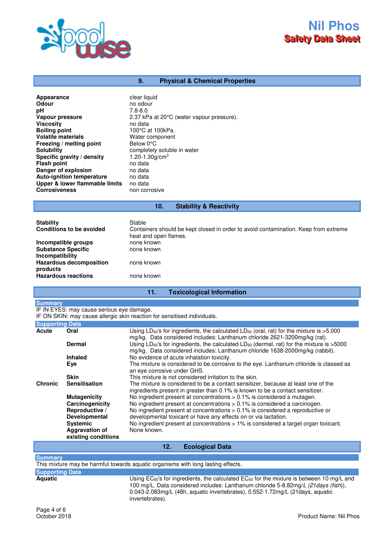

# **9. Physical & Chemical Properties**

| Appearance                       | clear liquid                              |
|----------------------------------|-------------------------------------------|
| Odour                            | no odour                                  |
| рH                               | $7.8 - 8.0$                               |
| Vapour pressure                  | 2.37 kPa at 20°C (water vapour pressure). |
| <b>Viscosity</b>                 | no data                                   |
| <b>Boiling point</b>             | 100°C at 100kPa.                          |
| <b>Volatile materials</b>        | Water component                           |
| Freezing / melting point         | Below 0°C                                 |
| <b>Solubility</b>                | completely soluble in water               |
| Specific gravity / density       | 1.20-1.30g/cm <sup>3</sup>                |
| <b>Flash point</b>               | no data                                   |
| Danger of explosion              | no data                                   |
| <b>Auto-ignition temperature</b> | no data                                   |
| Upper & lower flammable limits   | no data                                   |
| <b>Corrosiveness</b>             | non corrosive                             |

# **10. Stability & Reactivity**

| <b>Stability</b><br><b>Conditions to be avoided</b>           | Stable<br>Containers should be kept closed in order to avoid contamination. Keep from extreme<br>heat and open flames. |
|---------------------------------------------------------------|------------------------------------------------------------------------------------------------------------------------|
| Incompatible groups<br><b>Substance Specific</b>              | none known<br>none known                                                                                               |
| Incompatibility<br><b>Hazardous decomposition</b><br>products | none known                                                                                                             |
| <b>Hazardous reactions</b>                                    | none known                                                                                                             |

# **11. Toxicological Information**

#### **Summary**

IF IN EYES: may cause serious eye damage.

IF ON SKIN: may cause allergic skin reaction for sensitised individuals.

| <b>Supporting Data</b> |                                              |                                                                                                                                                                                                     |
|------------------------|----------------------------------------------|-----------------------------------------------------------------------------------------------------------------------------------------------------------------------------------------------------|
| Acute                  | Oral                                         | Using $LD_{50}$ 's for ingredients, the calculated $LD_{50}$ (oral, rat) for the mixture is $>5,000$<br>mg/kg. Data considered includes: Lanthanum chloride 2621-3200mg/kg (rat).                   |
|                        | <b>Dermal</b>                                | Using LD <sub>50</sub> 's for ingredients, the calculated LD <sub>50</sub> (dermal, rat) for the mixture is $>5000$<br>mg/kg. Data considered includes: Lanthanum chloride 1638-2000mg/kg (rabbit). |
|                        | <b>Inhaled</b>                               | No evidence of acute inhalation toxicity.                                                                                                                                                           |
|                        | Eye                                          | The mixture is considered to be corrosive to the eye. Lanthanum chloride is classed as<br>an eye corrosive under GHS.                                                                               |
|                        | <b>Skin</b>                                  | This mixture is not considered irritation to the skin.                                                                                                                                              |
| <b>Chronic</b>         | <b>Sensitisation</b>                         | The mixture is considered to be a contact sensitizer, because at least one of the<br>ingredients present in greater than 0.1% is known to be a contact sensitizer.                                  |
|                        | <b>Mutagenicity</b>                          | No ingredient present at concentrations $> 0.1\%$ is considered a mutagen.                                                                                                                          |
|                        | Carcinogenicity                              | No ingredient present at concentrations $> 0.1\%$ is considered a carcinogen.                                                                                                                       |
|                        | Reproductive /                               | No ingredient present at concentrations $> 0.1\%$ is considered a reproductive or                                                                                                                   |
|                        | <b>Developmental</b>                         | developmental toxicant or have any effects on or via lactation.                                                                                                                                     |
|                        | <b>Systemic</b>                              | No ingredient present at concentrations > 1% is considered a target organ toxicant.                                                                                                                 |
|                        | <b>Aggravation of</b><br>existing conditions | None known.                                                                                                                                                                                         |

# **12. Ecological Data**

#### **Summary**

This mixture may be harmful towards aquatic organisms with long lasting effects.

# **Supporting Data**

Using EC<sub>50</sub>'s for ingredients, the calculated EC<sub>50</sub> for the mixture is between 10 mg/L and 100 mg/L. Data considered includes: Lanthanum chloride 5-8.82mg/L (21days (fish)), 0.043-2.083mg/L (48h, aquatic invertebrates), 0.552-1.72mg/L (21days, aquatic invertebrates).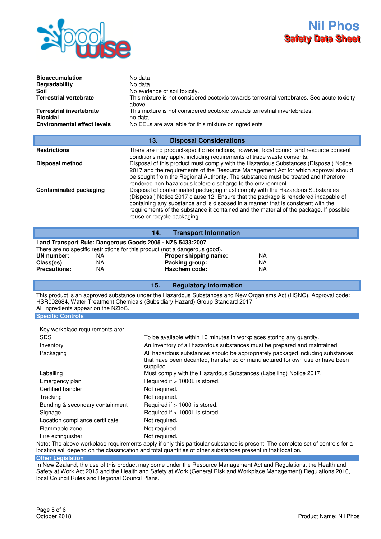

| <b>Bioaccumulation</b><br>Degradability<br>Soil<br><b>Terrestrial vertebrate</b><br><b>Terrestrial invertebrate</b><br><b>Biocidal</b><br><b>Environmental effect levels</b> | No data<br>No data<br>No evidence of soil toxicity.<br>This mixture is not considered ecotoxic towards terrestrial vertebrates. See acute toxicity<br>above.<br>This mixture is not considered ecotoxic towards terrestrial invertebrates.<br>no data<br>No EELs are available for this mixture or ingredients                                                                                                                                                                                                                                                                                                                                                                                                                                                                                                                                                                           |  |
|------------------------------------------------------------------------------------------------------------------------------------------------------------------------------|------------------------------------------------------------------------------------------------------------------------------------------------------------------------------------------------------------------------------------------------------------------------------------------------------------------------------------------------------------------------------------------------------------------------------------------------------------------------------------------------------------------------------------------------------------------------------------------------------------------------------------------------------------------------------------------------------------------------------------------------------------------------------------------------------------------------------------------------------------------------------------------|--|
| <b>Disposal Considerations</b><br>13.                                                                                                                                        |                                                                                                                                                                                                                                                                                                                                                                                                                                                                                                                                                                                                                                                                                                                                                                                                                                                                                          |  |
| <b>Restrictions</b><br><b>Disposal method</b><br><b>Contaminated packaging</b>                                                                                               | There are no product-specific restrictions, however, local council and resource consent<br>conditions may apply, including requirements of trade waste consents.<br>Disposal of this product must comply with the Hazardous Substances (Disposal) Notice<br>2017 and the requirements of the Resource Management Act for which approval should<br>be sought from the Regional Authority. The substance must be treated and therefore<br>rendered non-hazardous before discharge to the environment.<br>Disposal of contaminated packaging must comply with the Hazardous Substances<br>(Disposal) Notice 2017 clause 12. Ensure that the package is renedered incapable of<br>containing any substance and is disposed in a manner that is consistent with the<br>requirements of the substance it contained and the material of the package. If possible<br>reuse or recycle packaging. |  |

|                                                           |    | <b>Transport Information</b><br>14.                                         |     |  |
|-----------------------------------------------------------|----|-----------------------------------------------------------------------------|-----|--|
| Land Transport Rule: Dangerous Goods 2005 - NZS 5433:2007 |    |                                                                             |     |  |
|                                                           |    | There are no specific restrictions for this product (not a dangerous good). |     |  |
| UN number:                                                | ΝA | Proper shipping name:                                                       | NA. |  |
| Class(es)                                                 | NA | Packing group:                                                              | ΝA  |  |
| <b>Precautions:</b>                                       | NA | Hazchem code:                                                               | ΝA  |  |

### **15. Regulatory Information**

This product is an approved substance under the Hazardous Substances and New Organisms Act (HSNO). Approval code: HSR002684, Water Treatment Chemicals (Subsidiary Hazard) Group Standard 2017. All ingredients appear on the NZIoC.

### **Specific Controls**

| <b>SDS</b>                      | To be available within 10 minutes in workplaces storing any quantity.                                                                                                       |
|---------------------------------|-----------------------------------------------------------------------------------------------------------------------------------------------------------------------------|
| Inventory                       | An inventory of all hazardous substances must be prepared and maintained.                                                                                                   |
| Packaging                       | All hazardous substances should be appropriately packaged including substances<br>that have been decanted, transferred or manufactured for own use or have been<br>supplied |
| Labelling                       | Must comply with the Hazardous Substances (Labelling) Notice 2017.                                                                                                          |
| Emergency plan                  | Required if > 1000L is stored.                                                                                                                                              |
| Certified handler               | Not required.                                                                                                                                                               |
| Tracking                        | Not required.                                                                                                                                                               |
| Bunding & secondary containment | Required if $> 1000$ is stored.                                                                                                                                             |
| Signage                         | Required if > 1000L is stored.                                                                                                                                              |
| Location compliance certificate | Not required.                                                                                                                                                               |
| Flammable zone                  | Not required.                                                                                                                                                               |
| Fire extinguisher               | Not required.                                                                                                                                                               |

Note: The above workplace requirements apply if only this particular substance is present. The complete set of controls for a location will depend on the classification and total quantities of other substances present in that location.

**Other Legislation**

In New Zealand, the use of this product may come under the Resource Management Act and Regulations, the Health and Safety at Work Act 2015 and the Health and Safety at Work (General Risk and Workplace Management) Regulations 2016, local Council Rules and Regional Council Plans.